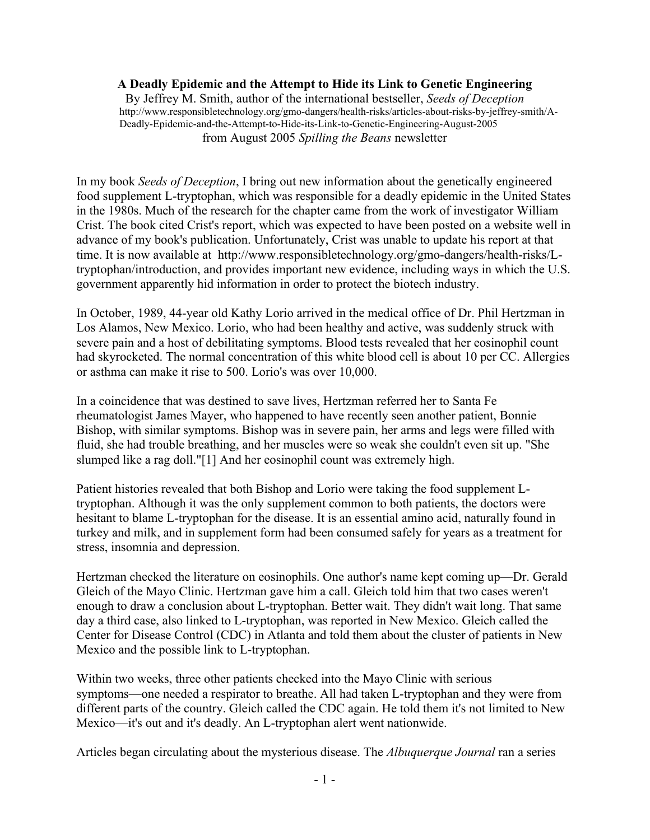#### **A Deadly Epidemic and the Attempt to Hide its Link to Genetic Engineering**

By Jeffrey M. Smith, author of the international bestseller, *Seeds of Deception* http://www.responsibletechnology.org/gmo-dangers/health-risks/articles-about-risks-by-jeffrey-smith/A-Deadly-Epidemic-and-the-Attempt-to-Hide-its-Link-to-Genetic-Engineering-August-2005 from August 2005 *Spilling the Beans* newsletter

In my book *Seeds of Deception*, I bring out new information about the genetically engineered food supplement L-tryptophan, which was responsible for a deadly epidemic in the United States in the 1980s. Much of the research for the chapter came from the work of investigator William Crist. The book cited Crist's report, which was expected to have been posted on a website well in advance of my book's publication. Unfortunately, Crist was unable to update his report at that time. It is now available at http://www.responsibletechnology.org/gmo-dangers/health-risks/Ltryptophan/introduction, and provides important new evidence, including ways in which the U.S. government apparently hid information in order to protect the biotech industry.

In October, 1989, 44-year old Kathy Lorio arrived in the medical office of Dr. Phil Hertzman in Los Alamos, New Mexico. Lorio, who had been healthy and active, was suddenly struck with severe pain and a host of debilitating symptoms. Blood tests revealed that her eosinophil count had skyrocketed. The normal concentration of this white blood cell is about 10 per CC. Allergies or asthma can make it rise to 500. Lorio's was over 10,000.

In a coincidence that was destined to save lives, Hertzman referred her to Santa Fe rheumatologist James Mayer, who happened to have recently seen another patient, Bonnie Bishop, with similar symptoms. Bishop was in severe pain, her arms and legs were filled with fluid, she had trouble breathing, and her muscles were so weak she couldn't even sit up. "She slumped like a rag doll."[1] And her eosinophil count was extremely high.

Patient histories revealed that both Bishop and Lorio were taking the food supplement Ltryptophan. Although it was the only supplement common to both patients, the doctors were hesitant to blame L-tryptophan for the disease. It is an essential amino acid, naturally found in turkey and milk, and in supplement form had been consumed safely for years as a treatment for stress, insomnia and depression.

Hertzman checked the literature on eosinophils. One author's name kept coming up—Dr. Gerald Gleich of the Mayo Clinic. Hertzman gave him a call. Gleich told him that two cases weren't enough to draw a conclusion about L-tryptophan. Better wait. They didn't wait long. That same day a third case, also linked to L-tryptophan, was reported in New Mexico. Gleich called the Center for Disease Control (CDC) in Atlanta and told them about the cluster of patients in New Mexico and the possible link to L-tryptophan.

Within two weeks, three other patients checked into the Mayo Clinic with serious symptoms—one needed a respirator to breathe. All had taken L-tryptophan and they were from different parts of the country. Gleich called the CDC again. He told them it's not limited to New Mexico—it's out and it's deadly. An L-tryptophan alert went nationwide.

Articles began circulating about the mysterious disease. The *Albuquerque Journal* ran a series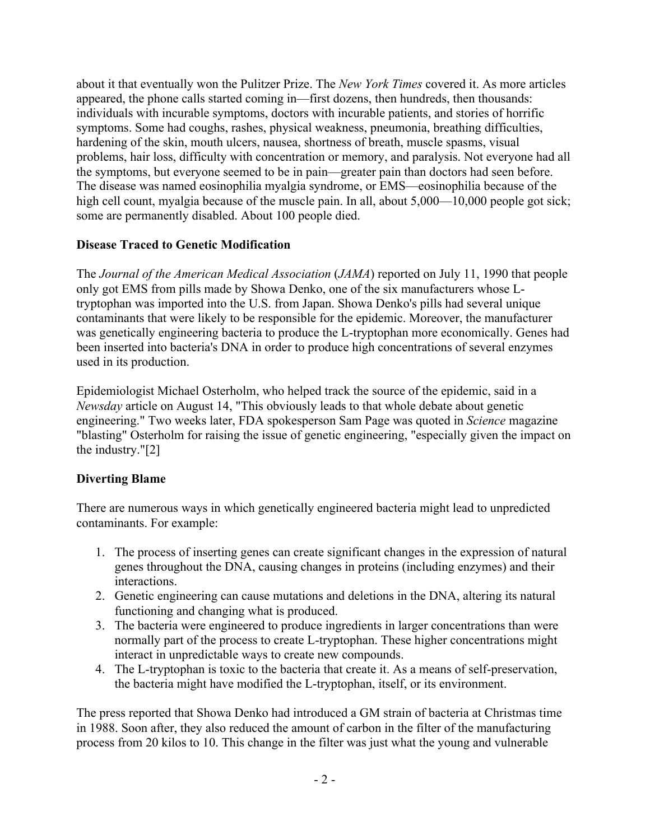about it that eventually won the Pulitzer Prize. The *New York Times* covered it. As more articles appeared, the phone calls started coming in—first dozens, then hundreds, then thousands: individuals with incurable symptoms, doctors with incurable patients, and stories of horrific symptoms. Some had coughs, rashes, physical weakness, pneumonia, breathing difficulties, hardening of the skin, mouth ulcers, nausea, shortness of breath, muscle spasms, visual problems, hair loss, difficulty with concentration or memory, and paralysis. Not everyone had all the symptoms, but everyone seemed to be in pain—greater pain than doctors had seen before. The disease was named eosinophilia myalgia syndrome, or EMS—eosinophilia because of the high cell count, myalgia because of the muscle pain. In all, about 5,000—10,000 people got sick; some are permanently disabled. About 100 people died.

## **Disease Traced to Genetic Modification**

The *Journal of the American Medical Association* (*JAMA*) reported on July 11, 1990 that people only got EMS from pills made by Showa Denko, one of the six manufacturers whose Ltryptophan was imported into the U.S. from Japan. Showa Denko's pills had several unique contaminants that were likely to be responsible for the epidemic. Moreover, the manufacturer was genetically engineering bacteria to produce the L-tryptophan more economically. Genes had been inserted into bacteria's DNA in order to produce high concentrations of several enzymes used in its production.

Epidemiologist Michael Osterholm, who helped track the source of the epidemic, said in a *Newsday* article on August 14, "This obviously leads to that whole debate about genetic engineering." Two weeks later, FDA spokesperson Sam Page was quoted in *Science* magazine "blasting" Osterholm for raising the issue of genetic engineering, "especially given the impact on the industry."[2]

# **Diverting Blame**

There are numerous ways in which genetically engineered bacteria might lead to unpredicted contaminants. For example:

- 1. The process of inserting genes can create significant changes in the expression of natural genes throughout the DNA, causing changes in proteins (including enzymes) and their interactions.
- 2. Genetic engineering can cause mutations and deletions in the DNA, altering its natural functioning and changing what is produced.
- 3. The bacteria were engineered to produce ingredients in larger concentrations than were normally part of the process to create L-tryptophan. These higher concentrations might interact in unpredictable ways to create new compounds.
- 4. The L-tryptophan is toxic to the bacteria that create it. As a means of self-preservation, the bacteria might have modified the L-tryptophan, itself, or its environment.

The press reported that Showa Denko had introduced a GM strain of bacteria at Christmas time in 1988. Soon after, they also reduced the amount of carbon in the filter of the manufacturing process from 20 kilos to 10. This change in the filter was just what the young and vulnerable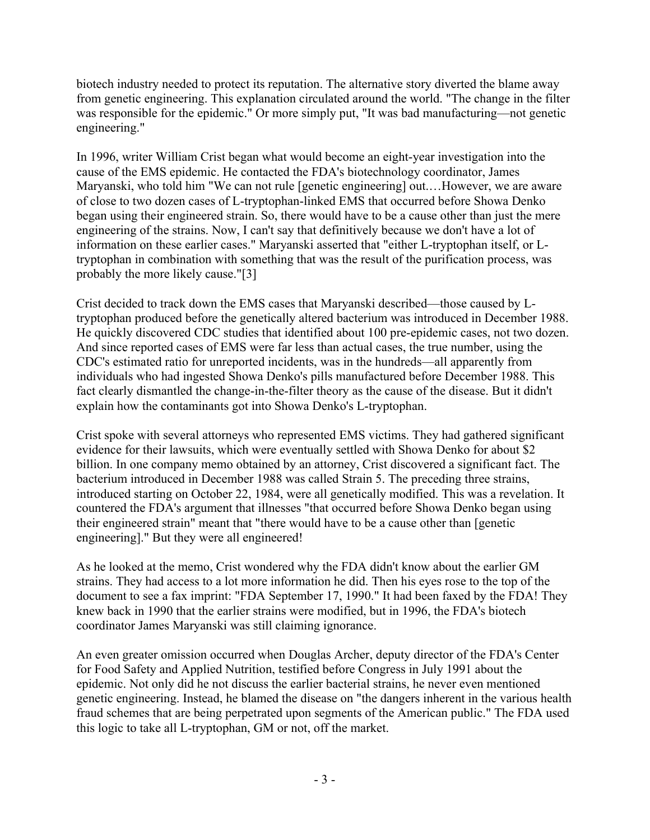biotech industry needed to protect its reputation. The alternative story diverted the blame away from genetic engineering. This explanation circulated around the world. "The change in the filter was responsible for the epidemic." Or more simply put, "It was bad manufacturing—not genetic engineering."

In 1996, writer William Crist began what would become an eight-year investigation into the cause of the EMS epidemic. He contacted the FDA's biotechnology coordinator, James Maryanski, who told him "We can not rule [genetic engineering] out.…However, we are aware of close to two dozen cases of L-tryptophan-linked EMS that occurred before Showa Denko began using their engineered strain. So, there would have to be a cause other than just the mere engineering of the strains. Now, I can't say that definitively because we don't have a lot of information on these earlier cases." Maryanski asserted that "either L-tryptophan itself, or Ltryptophan in combination with something that was the result of the purification process, was probably the more likely cause."[3]

Crist decided to track down the EMS cases that Maryanski described—those caused by Ltryptophan produced before the genetically altered bacterium was introduced in December 1988. He quickly discovered CDC studies that identified about 100 pre-epidemic cases, not two dozen. And since reported cases of EMS were far less than actual cases, the true number, using the CDC's estimated ratio for unreported incidents, was in the hundreds—all apparently from individuals who had ingested Showa Denko's pills manufactured before December 1988. This fact clearly dismantled the change-in-the-filter theory as the cause of the disease. But it didn't explain how the contaminants got into Showa Denko's L-tryptophan.

Crist spoke with several attorneys who represented EMS victims. They had gathered significant evidence for their lawsuits, which were eventually settled with Showa Denko for about \$2 billion. In one company memo obtained by an attorney, Crist discovered a significant fact. The bacterium introduced in December 1988 was called Strain 5. The preceding three strains, introduced starting on October 22, 1984, were all genetically modified. This was a revelation. It countered the FDA's argument that illnesses "that occurred before Showa Denko began using their engineered strain" meant that "there would have to be a cause other than [genetic engineering]." But they were all engineered!

As he looked at the memo, Crist wondered why the FDA didn't know about the earlier GM strains. They had access to a lot more information he did. Then his eyes rose to the top of the document to see a fax imprint: "FDA September 17, 1990." It had been faxed by the FDA! They knew back in 1990 that the earlier strains were modified, but in 1996, the FDA's biotech coordinator James Maryanski was still claiming ignorance.

An even greater omission occurred when Douglas Archer, deputy director of the FDA's Center for Food Safety and Applied Nutrition, testified before Congress in July 1991 about the epidemic. Not only did he not discuss the earlier bacterial strains, he never even mentioned genetic engineering. Instead, he blamed the disease on "the dangers inherent in the various health fraud schemes that are being perpetrated upon segments of the American public." The FDA used this logic to take all L-tryptophan, GM or not, off the market.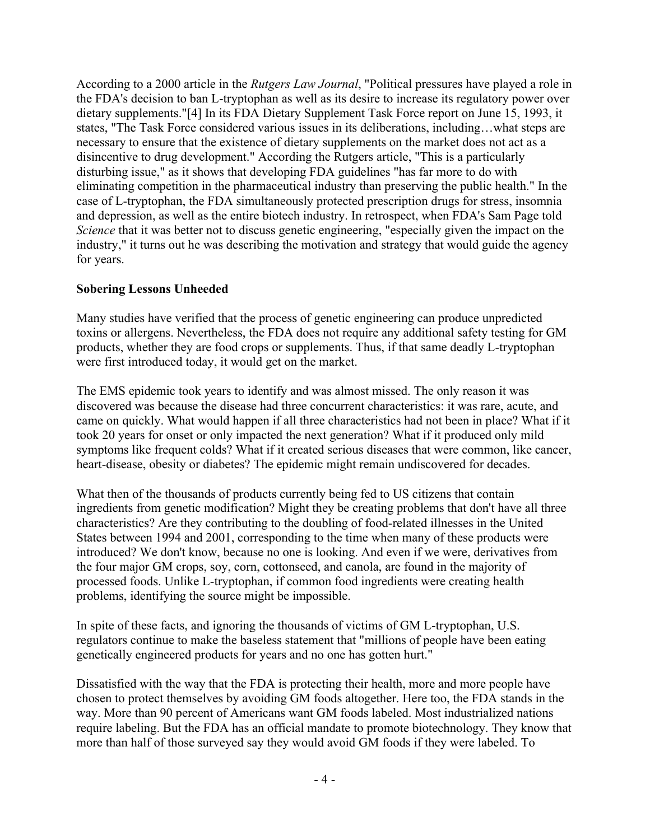According to a 2000 article in the *Rutgers Law Journal*, "Political pressures have played a role in the FDA's decision to ban L-tryptophan as well as its desire to increase its regulatory power over dietary supplements."[4] In its FDA Dietary Supplement Task Force report on June 15, 1993, it states, "The Task Force considered various issues in its deliberations, including…what steps are necessary to ensure that the existence of dietary supplements on the market does not act as a disincentive to drug development." According the Rutgers article, "This is a particularly disturbing issue," as it shows that developing FDA guidelines "has far more to do with eliminating competition in the pharmaceutical industry than preserving the public health." In the case of L-tryptophan, the FDA simultaneously protected prescription drugs for stress, insomnia and depression, as well as the entire biotech industry. In retrospect, when FDA's Sam Page told *Science* that it was better not to discuss genetic engineering, "especially given the impact on the industry," it turns out he was describing the motivation and strategy that would guide the agency for years.

### **Sobering Lessons Unheeded**

Many studies have verified that the process of genetic engineering can produce unpredicted toxins or allergens. Nevertheless, the FDA does not require any additional safety testing for GM products, whether they are food crops or supplements. Thus, if that same deadly L-tryptophan were first introduced today, it would get on the market.

The EMS epidemic took years to identify and was almost missed. The only reason it was discovered was because the disease had three concurrent characteristics: it was rare, acute, and came on quickly. What would happen if all three characteristics had not been in place? What if it took 20 years for onset or only impacted the next generation? What if it produced only mild symptoms like frequent colds? What if it created serious diseases that were common, like cancer, heart-disease, obesity or diabetes? The epidemic might remain undiscovered for decades.

What then of the thousands of products currently being fed to US citizens that contain ingredients from genetic modification? Might they be creating problems that don't have all three characteristics? Are they contributing to the doubling of food-related illnesses in the United States between 1994 and 2001, corresponding to the time when many of these products were introduced? We don't know, because no one is looking. And even if we were, derivatives from the four major GM crops, soy, corn, cottonseed, and canola, are found in the majority of processed foods. Unlike L-tryptophan, if common food ingredients were creating health problems, identifying the source might be impossible.

In spite of these facts, and ignoring the thousands of victims of GM L-tryptophan, U.S. regulators continue to make the baseless statement that "millions of people have been eating genetically engineered products for years and no one has gotten hurt."

Dissatisfied with the way that the FDA is protecting their health, more and more people have chosen to protect themselves by avoiding GM foods altogether. Here too, the FDA stands in the way. More than 90 percent of Americans want GM foods labeled. Most industrialized nations require labeling. But the FDA has an official mandate to promote biotechnology. They know that more than half of those surveyed say they would avoid GM foods if they were labeled. To